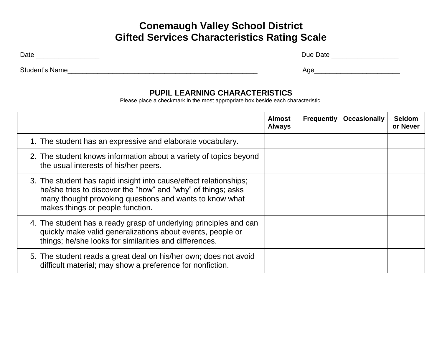# **Conemaugh Valley School District Gifted Services Characteristics Rating Scale**

Date \_\_\_\_\_\_\_\_\_\_\_\_\_\_\_\_\_ Due Date \_\_\_\_\_\_\_\_\_\_\_\_\_\_\_\_\_\_

| Student's | Aae |
|-----------|-----|
| Name      | . . |
|           |     |

#### **PUPIL LEARNING CHARACTERISTICS**

Please place a checkmark in the most appropriate box beside each characteristic.

|                                                                                                                                                                                                                                  | <b>Almost</b><br><b>Always</b> | <b>Frequently</b> | <b>Occasionally</b> | <b>Seldom</b><br>or Never |
|----------------------------------------------------------------------------------------------------------------------------------------------------------------------------------------------------------------------------------|--------------------------------|-------------------|---------------------|---------------------------|
| 1. The student has an expressive and elaborate vocabulary.                                                                                                                                                                       |                                |                   |                     |                           |
| 2. The student knows information about a variety of topics beyond<br>the usual interests of his/her peers.                                                                                                                       |                                |                   |                     |                           |
| 3. The student has rapid insight into cause/effect relationships;<br>he/she tries to discover the "how" and "why" of things; asks<br>many thought provoking questions and wants to know what<br>makes things or people function. |                                |                   |                     |                           |
| 4. The student has a ready grasp of underlying principles and can<br>quickly make valid generalizations about events, people or<br>things; he/she looks for similarities and differences.                                        |                                |                   |                     |                           |
| 5. The student reads a great deal on his/her own; does not avoid<br>difficult material; may show a preference for nonfiction.                                                                                                    |                                |                   |                     |                           |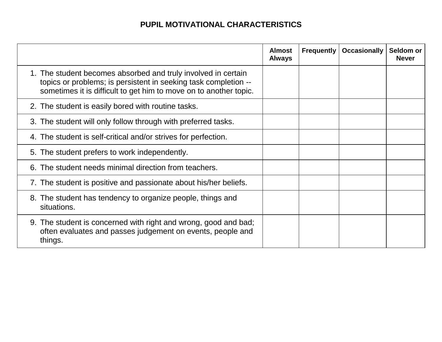## **PUPIL MOTIVATIONAL CHARACTERISTICS**

|                                                                                                                                                                                                       | <b>Almost</b><br><b>Always</b> | <b>Frequently</b> | <b>Occasionally</b> | Seldom or<br><b>Never</b> |
|-------------------------------------------------------------------------------------------------------------------------------------------------------------------------------------------------------|--------------------------------|-------------------|---------------------|---------------------------|
| 1. The student becomes absorbed and truly involved in certain<br>topics or problems; is persistent in seeking task completion --<br>sometimes it is difficult to get him to move on to another topic. |                                |                   |                     |                           |
| 2. The student is easily bored with routine tasks.                                                                                                                                                    |                                |                   |                     |                           |
| 3. The student will only follow through with preferred tasks.                                                                                                                                         |                                |                   |                     |                           |
| 4. The student is self-critical and/or strives for perfection.                                                                                                                                        |                                |                   |                     |                           |
| 5. The student prefers to work independently.                                                                                                                                                         |                                |                   |                     |                           |
| The student needs minimal direction from teachers.                                                                                                                                                    |                                |                   |                     |                           |
| 7. The student is positive and passionate about his/her beliefs.                                                                                                                                      |                                |                   |                     |                           |
| 8. The student has tendency to organize people, things and<br>situations.                                                                                                                             |                                |                   |                     |                           |
| 9. The student is concerned with right and wrong, good and bad;<br>often evaluates and passes judgement on events, people and<br>things.                                                              |                                |                   |                     |                           |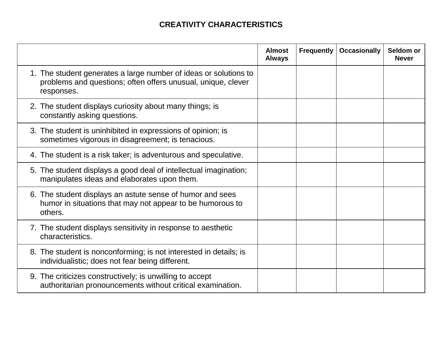## **CREATIVITY CHARACTERISTICS**

|                                                                                                                                                | <b>Almost</b><br><b>Always</b> | <b>Frequently</b> | <b>Occasionally</b> | Seldom or<br><b>Never</b> |
|------------------------------------------------------------------------------------------------------------------------------------------------|--------------------------------|-------------------|---------------------|---------------------------|
| 1. The student generates a large number of ideas or solutions to<br>problems and questions; often offers unusual, unique, clever<br>responses. |                                |                   |                     |                           |
| 2. The student displays curiosity about many things; is<br>constantly asking questions.                                                        |                                |                   |                     |                           |
| 3. The student is uninhibited in expressions of opinion; is<br>sometimes vigorous in disagreement; is tenacious.                               |                                |                   |                     |                           |
| 4. The student is a risk taker; is adventurous and speculative.                                                                                |                                |                   |                     |                           |
| 5. The student displays a good deal of intellectual imagination;<br>manipulates ideas and elaborates upon them.                                |                                |                   |                     |                           |
| 6. The student displays an astute sense of humor and sees<br>humor in situations that may not appear to be humorous to<br>others.              |                                |                   |                     |                           |
| 7. The student displays sensitivity in response to aesthetic<br>characteristics.                                                               |                                |                   |                     |                           |
| 8. The student is nonconforming; is not interested in details; is<br>individualistic; does not fear being different.                           |                                |                   |                     |                           |
| 9. The criticizes constructively; is unwilling to accept<br>authoritarian pronouncements without critical examination.                         |                                |                   |                     |                           |